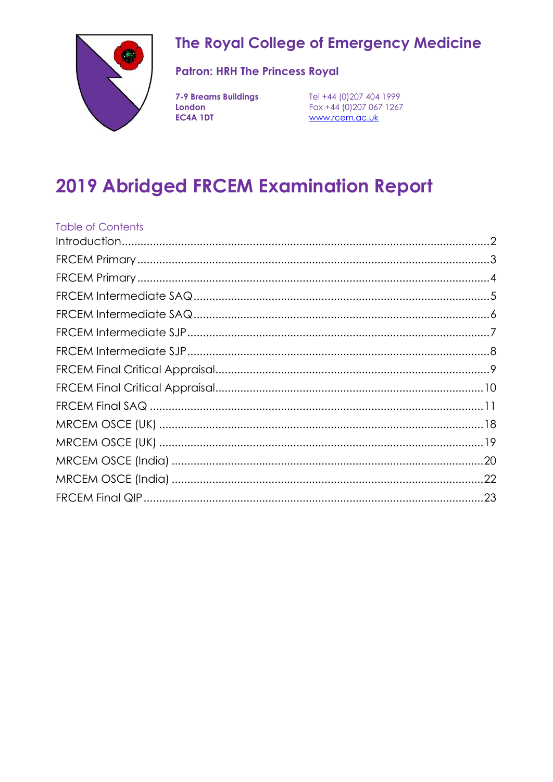

# The Royal College of Emergency Medicine

### **Patron: HRH The Princess Royal**

London EC4A 1DT

**7-9 Breams Buildings** Tel +44 (0)207 404 1999 Fax +44 (0) 207 067 1267 www.rcem.ac.uk

# **2019 Abridged FRCEM Examination Report**

<span id="page-0-0"></span>

| <b>Table of Contents</b> |  |
|--------------------------|--|
|                          |  |
|                          |  |
|                          |  |
|                          |  |
|                          |  |
|                          |  |
|                          |  |
|                          |  |
|                          |  |
|                          |  |
|                          |  |
|                          |  |
|                          |  |
|                          |  |
|                          |  |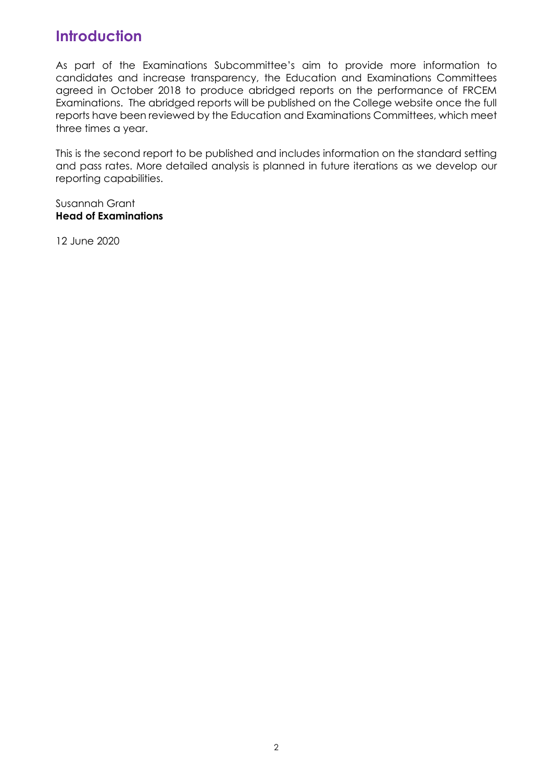# **Introduction**

As part of the Examinations Subcommittee's aim to provide more information to candidates and increase transparency, the Education and Examinations Committees agreed in October 2018 to produce abridged reports on the performance of FRCEM Examinations. The abridged reports will be published on the College website once the full reports have been reviewed by the Education and Examinations Committees, which meet three times a year.

This is the second report to be published and includes information on the standard setting and pass rates. More detailed analysis is planned in future iterations as we develop our reporting capabilities.

#### Susannah Grant **Head of Examinations**

12 June 2020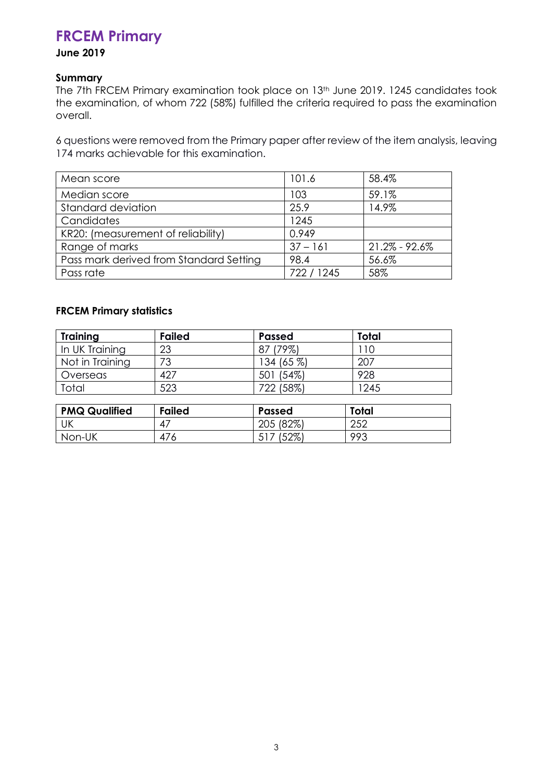# <span id="page-2-0"></span>**FRCEM Primary**

### **June 2019**

### **Summary**

The 7th FRCEM Primary examination took place on 13th June 2019. 1245 candidates took the examination, of whom 722 (58%) fulfilled the criteria required to pass the examination overall.

6 questions were removed from the Primary paper after review of the item analysis, leaving 174 marks achievable for this examination.

| Mean score                              | 101.6      | 58.4%             |
|-----------------------------------------|------------|-------------------|
| Median score                            | 103        | 59.1%             |
| Standard deviation                      | 25.9       | 14.9%             |
| Candidates                              | 1245       |                   |
| KR20: (measurement of reliability)      | 0.949      |                   |
| Range of marks                          | $37 - 161$ | $21.2\% - 92.6\%$ |
| Pass mark derived from Standard Setting | 98.4       | 56.6%             |
| Pass rate                               | 722 / 1245 | 58%               |

### **FRCEM Primary statistics**

| <b>Training</b>      | <b>Failed</b> | <b>Passed</b> | <b>Total</b> |
|----------------------|---------------|---------------|--------------|
| In UK Training       | 23            | 87 (79%)      | 110          |
| Not in Training      | 73            | 134 (65 %)    | 207          |
| Overseas             | 427           | 501 (54%)     | 928          |
| Total                | 523           | 722 (58%)     | 1245         |
|                      |               |               |              |
| <b>PMQ Qualified</b> | <b>Failed</b> | <b>Passed</b> | <b>Total</b> |
| UK                   | 47            | 205 (82%)     | 252          |

<span id="page-2-1"></span>Non-UK 476 517 (52%) 993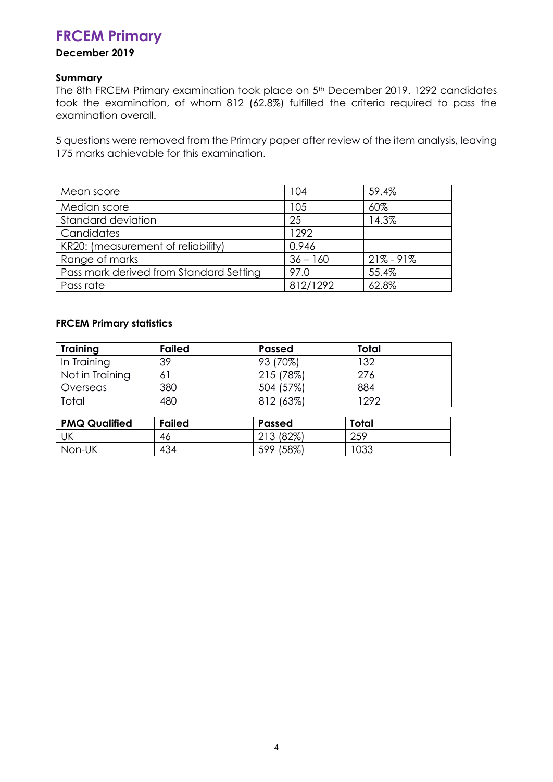# **FRCEM Primary**

### **December 2019**

### **Summary**

The 8th FRCEM Primary examination took place on 5th December 2019. 1292 candidates took the examination, of whom 812 (62.8%) fulfilled the criteria required to pass the examination overall.

5 questions were removed from the Primary paper after review of the item analysis, leaving 175 marks achievable for this examination.

| Mean score                              | 104        | 59.4%         |
|-----------------------------------------|------------|---------------|
| Median score                            | 105        | 60%           |
| <b>Standard deviation</b>               | 25         | 14.3%         |
| Candidates                              | 1292       |               |
| KR20: (measurement of reliability)      | 0.946      |               |
| Range of marks                          | $36 - 160$ | $21\% - 91\%$ |
| Pass mark derived from Standard Setting | 97.0       | 55.4%         |
| Pass rate                               | 812/1292   | 62.8%         |

### **FRCEM Primary statistics**

| <b>Training</b> | <b>Failed</b> | <b>Passed</b> | Total |
|-----------------|---------------|---------------|-------|
| In Training     | 39            | 93 (70%)      | 132   |
| Not in Training | 61            | 215 (78%)     | 276   |
| Overseas        | 380           | 504 (57%)     | 884   |
| Total           | 480           | 812 (63%)     | 292   |
|                 |               |               |       |

<span id="page-3-0"></span>

| <b>PMQ Qualified</b> | <b>Failed</b> | Passed         | Total |
|----------------------|---------------|----------------|-------|
| UK                   | -46           | (82%)<br>21 J  | 259   |
| Non-UK               | 434           | $(58\%$<br>599 | 1033  |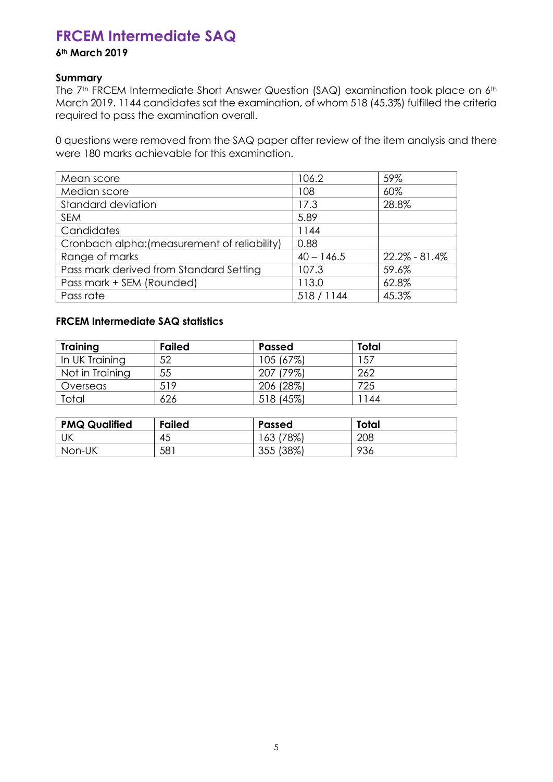# **FRCEM Intermediate SAQ**

### **6th March 2019**

### **Summary**

The 7<sup>th</sup> FRCEM Intermediate Short Answer Question (SAQ) examination took place on 6<sup>th</sup> March 2019. 1144 candidates sat the examination, of whom 518 (45.3%) fulfilled the criteria required to pass the examination overall.

0 questions were removed from the SAQ paper after review of the item analysis and there were 180 marks achievable for this examination.

| Mean score                                   | 106.2        | 59%           |
|----------------------------------------------|--------------|---------------|
| Median score                                 | 108          | 60%           |
| Standard deviation                           | 17.3         | 28.8%         |
| <b>SEM</b>                                   | 5.89         |               |
| Candidates                                   | 1144         |               |
| Cronbach alpha: (measurement of reliability) | 0.88         |               |
| Range of marks                               | $40 - 146.5$ | 22.2% - 81.4% |
| Pass mark derived from Standard Setting      | 107.3        | 59.6%         |
| Pass mark + SEM (Rounded)                    | 113.0        | 62.8%         |
| Pass rate                                    | 518/1144     | 45.3%         |

### **FRCEM Intermediate SAQ statistics**

| <b>Training</b> | <b>Failed</b> | <b>Passed</b> | <b>Total</b> |
|-----------------|---------------|---------------|--------------|
| In UK Training  | 52            | 105 (67%)     | 157          |
| Not in Training | 55            | 207 (79%)     | 262          |
| <b>Overseas</b> | 519           | 206 (28%)     | 725          |
| Total           | 626           | 518 (45%)     | 144          |

<span id="page-4-0"></span>

| <b>PMQ Qualified</b> | <b>Failed</b> | <b>Passed</b>       | Total |
|----------------------|---------------|---------------------|-------|
| UK                   | 45            | 78%)<br>63          | 208   |
| Non-UK               | 581           | (38%)<br>つちち<br>ບບບ | 936   |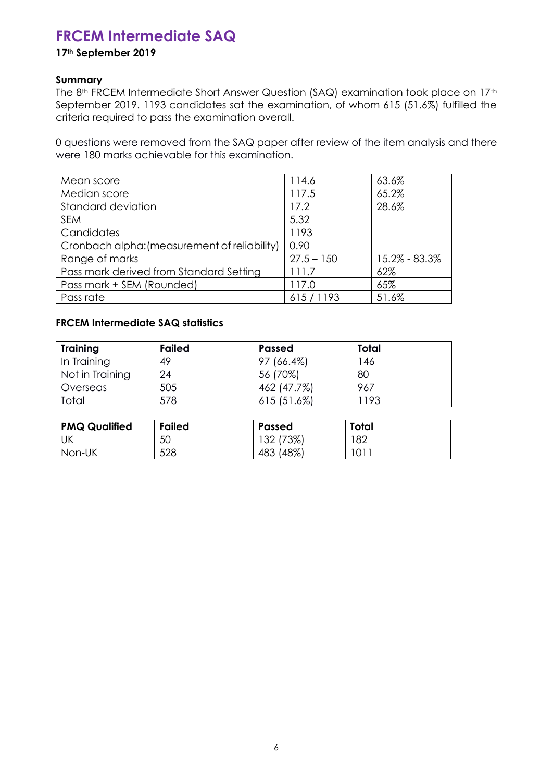# **FRCEM Intermediate SAQ**

### **17th September 2019**

### **Summary**

The 8<sup>th</sup> FRCEM Intermediate Short Answer Question (SAQ) examination took place on 17<sup>th</sup> September 2019. 1193 candidates sat the examination, of whom 615 (51.6%) fulfilled the criteria required to pass the examination overall.

0 questions were removed from the SAQ paper after review of the item analysis and there were 180 marks achievable for this examination.

| Mean score                                   | 114.6        | 63.6%         |
|----------------------------------------------|--------------|---------------|
| Median score                                 | 117.5        | 65.2%         |
| Standard deviation                           | 17.2         | 28.6%         |
| <b>SEM</b>                                   | 5.32         |               |
| Candidates                                   | 1193         |               |
| Cronbach alpha: (measurement of reliability) | 0.90         |               |
| Range of marks                               | $27.5 - 150$ | 15.2% - 83.3% |
| Pass mark derived from Standard Setting      | 111.7        | 62%           |
| Pass mark + SEM (Rounded)                    | 117.0        | 65%           |
| Pass rate                                    | 615/1193     | 51.6%         |

### **FRCEM Intermediate SAQ statistics**

| <b>Training</b> | <b>Failed</b> | <b>Passed</b> | Total |
|-----------------|---------------|---------------|-------|
| In Training     | 49            | 97 (66.4%)    | 146   |
| Not in Training | 24            | 56 (70%)      | 80    |
| Overseas        | 505           | 462 (47.7%)   | 967   |
| Total           | 578           | 615(51.6%)    | 1193  |

| <b>PMQ Qualified</b> | <b>Failed</b> | <b>Passed</b> | Total |
|----------------------|---------------|---------------|-------|
| UK                   | 50            | (73%)         | 182   |
| Non-UK               | 528           | (48%)<br>483  |       |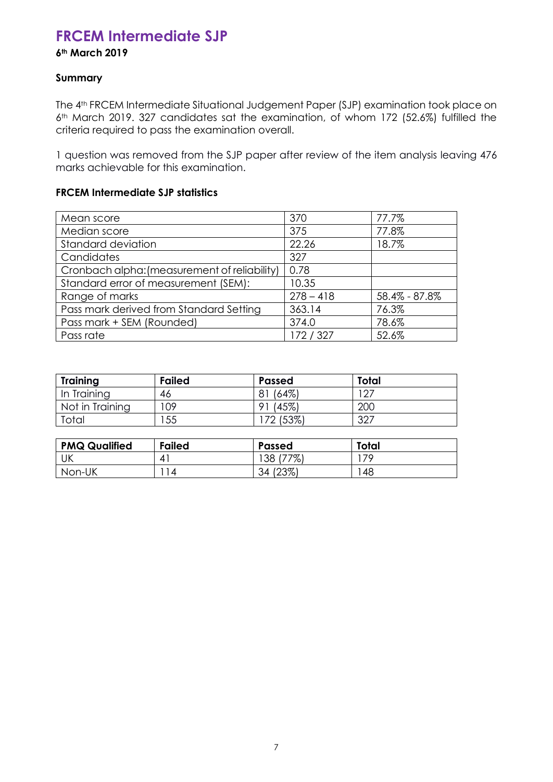# <span id="page-6-0"></span>**FRCEM Intermediate SJP**

### **6th March 2019**

### **Summary**

The 4<sup>th</sup> FRCEM Intermediate Situational Judgement Paper (SJP) examination took place on 6th March 2019. 327 candidates sat the examination, of whom 172 (52.6%) fulfilled the criteria required to pass the examination overall.

1 question was removed from the SJP paper after review of the item analysis leaving 476 marks achievable for this examination.

### **FRCEM Intermediate SJP statistics**

| Mean score                                   | 370         | 77.7%         |
|----------------------------------------------|-------------|---------------|
| Median score                                 | 375         | 77.8%         |
| Standard deviation                           | 22.26       | 18.7%         |
| Candidates                                   | 327         |               |
| Cronbach alpha: (measurement of reliability) | 0.78        |               |
| Standard error of measurement (SEM):         | 10.35       |               |
| Range of marks                               | $278 - 418$ | 58.4% - 87.8% |
| Pass mark derived from Standard Setting      | 363.14      | 76.3%         |
| Pass mark + SEM (Rounded)                    | 374.0       | 78.6%         |
| Pass rate                                    | 172 / 327   | 52.6%         |

| <b>Training</b> | <b>Failed</b> | <b>Passed</b> | Total |
|-----------------|---------------|---------------|-------|
| In Training     | 46            | (64%)<br>81   | -27   |
| Not in Training | 09            | (45%)<br>o    | 200   |
| Total           | 55            | 72 (53%)      | 327   |

<span id="page-6-1"></span>

| <b>PMQ Qualified</b> | <b>Failed</b> | <b>Passed</b> | <b>Total</b> |
|----------------------|---------------|---------------|--------------|
| UK                   |               | (77%)<br>38   | 79           |
| Non-UK               | 14            | (23%)<br>34   | 48           |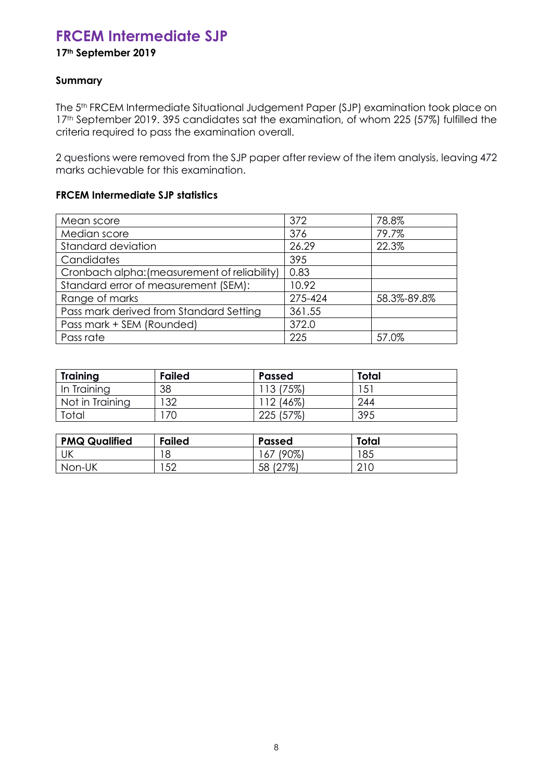# **FRCEM Intermediate SJP**

### **17th September 2019**

### **Summary**

The 5<sup>th</sup> FRCEM Intermediate Situational Judgement Paper (SJP) examination took place on 17<sup>th</sup> September 2019. 395 candidates sat the examination, of whom 225 (57%) fulfilled the criteria required to pass the examination overall.

2 questions were removed from the SJP paper after review of the item analysis, leaving 472 marks achievable for this examination.

### **FRCEM Intermediate SJP statistics**

| Mean score                                   | 372     | 78.8%       |
|----------------------------------------------|---------|-------------|
| Median score                                 | 376     | 79.7%       |
| Standard deviation                           | 26.29   | 22.3%       |
| Candidates                                   | 395     |             |
| Cronbach alpha: (measurement of reliability) | 0.83    |             |
| Standard error of measurement (SEM):         | 10.92   |             |
| Range of marks                               | 275-424 | 58.3%-89.8% |
| Pass mark derived from Standard Setting      | 361.55  |             |
| Pass mark + SEM (Rounded)                    | 372.0   |             |
| Pass rate                                    | 225     | 57.0%       |

| <b>Training</b> | <b>Failed</b> | <b>Passed</b> | <b>Total</b> |
|-----------------|---------------|---------------|--------------|
| In Training     | 38            | ' 13 (75%)    | $5^{\circ}$  |
| Not in Training | 132           | `12 (46%)     | 244          |
| Total           | 70            | 225 (57%)     | 395          |

<span id="page-7-0"></span>

| <b>PMQ Qualified</b> | <b>Failed</b> | <b>Passed</b>         | Total                  |
|----------------------|---------------|-----------------------|------------------------|
| UK                   | 18            | $(90\%)$<br>$\sigma/$ | 85                     |
| Non-UK               | .50<br>◡▵     | $127\%$<br>58         | $\cap$ 1 $\cap$<br>∠⊥∪ |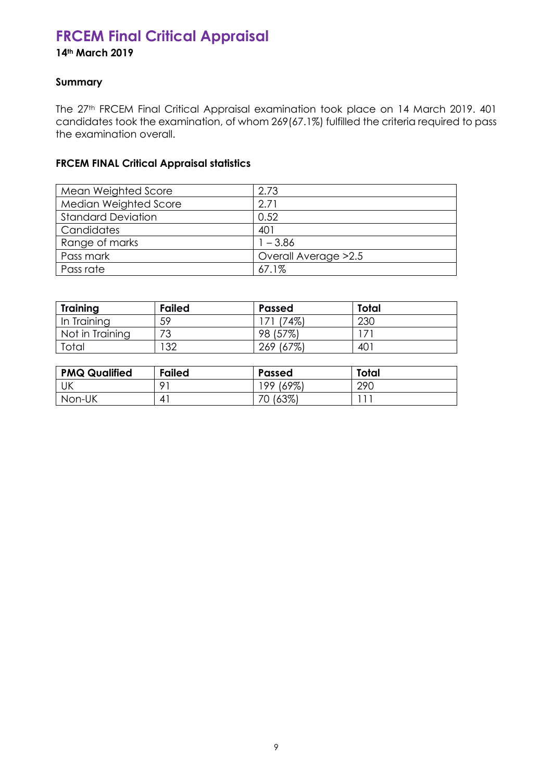# **FRCEM Final Critical Appraisal**

**14th March 2019**

### **Summary**

The 27<sup>th</sup> FRCEM Final Critical Appraisal examination took place on 14 March 2019. 401 candidates took the examination, of whom 269(67.1%) fulfilled the criteria required to pass the examination overall.

### **FRCEM FINAL Critical Appraisal statistics**

| Mean Weighted Score       | 2.73                  |
|---------------------------|-----------------------|
| Median Weighted Score     | 2.71                  |
| <b>Standard Deviation</b> | 0.52                  |
| Candidates                | 401                   |
| Range of marks            | $1 - 3.86$            |
| Pass mark                 | Overall Average > 2.5 |
| Pass rate                 | 67.1%                 |

| <b>Training</b> | <b>Failed</b> | <b>Passed</b> | Total |
|-----------------|---------------|---------------|-------|
| In Training     | 59            | (74%)         | 230   |
| Not in Training | 72            | (57%)<br>98   |       |
| Total           | ר ד           | 269 (67%)     | 40    |

| <b>PMQ Qualified</b> | <b>Failed</b> | Passed    | Total      |
|----------------------|---------------|-----------|------------|
| UK                   | O 1           | 199 (69%) | <b>290</b> |
| Non-UK               |               | 70 (63%)  |            |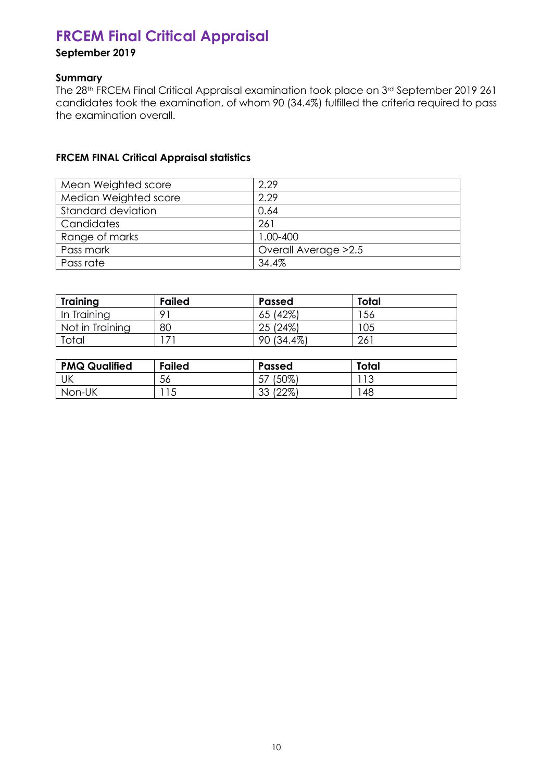# <span id="page-9-0"></span>**FRCEM Final Critical Appraisal**

### **September 2019**

### **Summary**

The 28th FRCEM Final Critical Appraisal examination took place on 3rd September 2019 261 candidates took the examination, of whom 90 (34.4%) fulfilled the criteria required to pass the examination overall.

### **FRCEM FINAL Critical Appraisal statistics**

| Mean Weighted score       | 2.29                  |
|---------------------------|-----------------------|
| Median Weighted score     | 2.29                  |
| <b>Standard deviation</b> | 0.64                  |
| Candidates                | 261                   |
| Range of marks            | 1.00-400              |
| Pass mark                 | Overall Average > 2.5 |
| Pass rate                 | 34.4%                 |

| <b>Training</b> | <b>Failed</b> | <b>Passed</b> | Total        |
|-----------------|---------------|---------------|--------------|
| In Training     | $\Omega$ 1    | 65 (42%)      | ' 56         |
| Not in Training | 80            | 25 (24%)      | 105          |
| Total           |               | 90 (34.4%)    | $26^{\circ}$ |

<span id="page-9-1"></span>

| <b>PMQ Qualified</b> | <b>Failed</b> | <b>Passed</b>     | Total        |
|----------------------|---------------|-------------------|--------------|
| UK                   | 56            | (50%)<br>ىر       | າ າ ^<br>ں ا |
| Non-UK               | ∣◡            | (22%)<br>っっ<br>ບບ | 48           |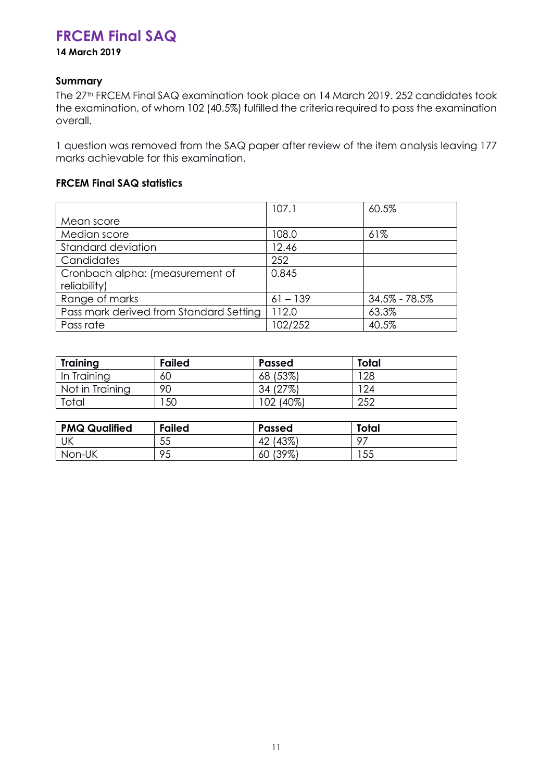# **FRCEM Final SAQ**

**14 March 2019**

### **Summary**

The 27th FRCEM Final SAQ examination took place on 14 March 2019. 252 candidates took the examination, of whom 102 (40.5%) fulfilled the criteria required to pass the examination overall.

1 question was removed from the SAQ paper after review of the item analysis leaving 177 marks achievable for this examination.

### **FRCEM Final SAQ statistics**

|                                                 | 107.1      | 60.5%             |
|-------------------------------------------------|------------|-------------------|
| Mean score                                      |            |                   |
| Median score                                    | 108.0      | 61%               |
| Standard deviation                              | 12.46      |                   |
| Candidates                                      | 252        |                   |
| Cronbach alpha: (measurement of<br>reliability) | 0.845      |                   |
| Range of marks                                  | $61 - 139$ | $34.5\% - 78.5\%$ |
| Pass mark derived from Standard Setting         | 112.0      | 63.3%             |
| Pass rate                                       | 102/252    | 40.5%             |

| <b>Training</b> | <b>Failed</b> | <b>Passed</b> | <b>Total</b> |
|-----------------|---------------|---------------|--------------|
| In Training     | 60            | 68 (53%)      | 28           |
| Not in Training | 90            | 34 (27%)      | 24           |
| Total           | 50            | 102 (40%)     | 252          |

| <b>PMQ Qualified</b> | <b>Failed</b> | <b>Passed</b>  | Total |
|----------------------|---------------|----------------|-------|
| UK                   | 55            | (43%)<br>42    | -07   |
| Non-UK               | 95            | $(39\%)$<br>60 | 55    |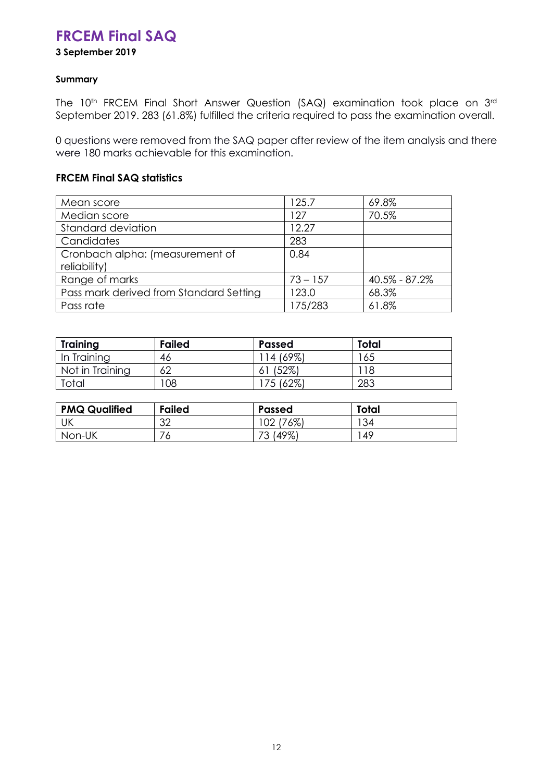# **FRCEM Final SAQ**

**3 September 2019** 

### **Summary**

The 10<sup>th</sup> FRCEM Final Short Answer Question (SAQ) examination took place on 3<sup>rd</sup> September 2019. 283 (61.8%) fulfilled the criteria required to pass the examination overall.

0 questions were removed from the SAQ paper after review of the item analysis and there were 180 marks achievable for this examination.

### **FRCEM Final SAQ statistics**

| Mean score                              | 125.7      | 69.8%         |
|-----------------------------------------|------------|---------------|
| Median score                            | 127        | 70.5%         |
| Standard deviation                      | 12.27      |               |
| Candidates                              | 283        |               |
| Cronbach alpha: (measurement of         | 0.84       |               |
| reliability)                            |            |               |
| Range of marks                          | $73 - 157$ | 40.5% - 87.2% |
| Pass mark derived from Standard Setting | 123.0      | 68.3%         |
| Pass rate                               | 175/283    | 61.8%         |

| <b>Training</b> | <b>Failed</b> | <b>Passed</b> | <b>Total</b> |
|-----------------|---------------|---------------|--------------|
| In Training     | 46            | 14 (69%)      | 165          |
| Not in Training | 62            | (52%)<br>O.   | 118          |
| Total           | 08            | 75 (62%)      | 283          |

| <b>PMQ Qualified</b> | <b>Failed</b> | <b>Passed</b>    | Total |
|----------------------|---------------|------------------|-------|
| UK                   | າດ<br>ے ت     | (76%)<br>102     | 34    |
| Non-UK               | $\circ$       | (49%)<br>70<br>◡ | 49    |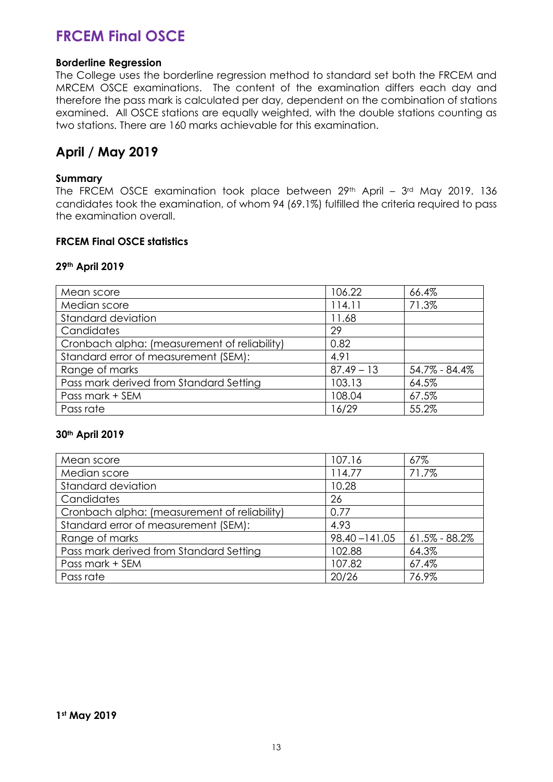# **FRCEM Final OSCE**

### **Borderline Regression**

The College uses the borderline regression method to standard set both the FRCEM and MRCEM OSCE examinations. The content of the examination differs each day and therefore the pass mark is calculated per day, dependent on the combination of stations examined. All OSCE stations are equally weighted, with the double stations counting as two stations. There are 160 marks achievable for this examination.

### **April / May 2019**

### **Summary**

The FRCEM OSCE examination took place between 29<sup>th</sup> April - 3<sup>rd</sup> May 2019. 136 candidates took the examination, of whom 94 (69.1%) fulfilled the criteria required to pass the examination overall.

### **FRCEM Final OSCE statistics**

### **29th April 2019**

| Mean score                                   | 106.22       | 66.4%         |
|----------------------------------------------|--------------|---------------|
| Median score                                 | 114.11       | 71.3%         |
| Standard deviation                           | 11.68        |               |
| Candidates                                   | 29           |               |
| Cronbach alpha: (measurement of reliability) | 0.82         |               |
| Standard error of measurement (SEM):         | 4.91         |               |
| Range of marks                               | $87.49 - 13$ | 54.7% - 84.4% |
| Pass mark derived from Standard Setting      | 103.13       | 64.5%         |
| Pass mark + SEM                              | 108.04       | 67.5%         |
| Pass rate                                    | 16/29        | 55.2%         |

### **30th April 2019**

| Mean score                                   | 107.16           | 67%               |
|----------------------------------------------|------------------|-------------------|
| Median score                                 | 114.77           | 71.7%             |
| Standard deviation                           | 10.28            |                   |
| Candidates                                   | 26               |                   |
| Cronbach alpha: (measurement of reliability) | 0.77             |                   |
| Standard error of measurement (SEM):         | 4.93             |                   |
| Range of marks                               | $98.40 - 141.05$ | $61.5\% - 88.2\%$ |
| Pass mark derived from Standard Setting      | 102.88           | 64.3%             |
| Pass mark + SEM                              | 107.82           | 67.4%             |
| Pass rate                                    | 20/26            | 76.9%             |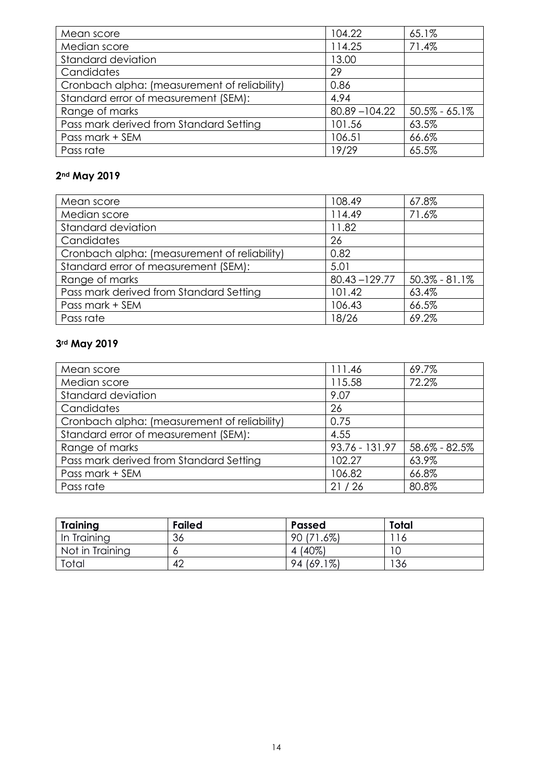| Mean score                                   | 104.22           | 65.1%             |
|----------------------------------------------|------------------|-------------------|
| Median score                                 | 114.25           | 71.4%             |
| Standard deviation                           | 13.00            |                   |
| Candidates                                   | 29               |                   |
| Cronbach alpha: (measurement of reliability) | 0.86             |                   |
| Standard error of measurement (SEM):         | 4.94             |                   |
| Range of marks                               | $80.89 - 104.22$ | $50.5\% - 65.1\%$ |
| Pass mark derived from Standard Setting      | 101.56           | 63.5%             |
| Pass mark + SEM                              | 106.51           | 66.6%             |
| Pass rate                                    | 19/29            | 65.5%             |

### **2nd May 2019**

| Mean score                                   | 108.49           | 67.8%             |
|----------------------------------------------|------------------|-------------------|
| Median score                                 | 114.49           | 71.6%             |
| Standard deviation                           | 11.82            |                   |
| Candidates                                   | 26               |                   |
| Cronbach alpha: (measurement of reliability) | 0.82             |                   |
| Standard error of measurement (SEM):         | 5.01             |                   |
| Range of marks                               | $80.43 - 129.77$ | $50.3\% - 81.1\%$ |
| Pass mark derived from Standard Setting      | 101.42           | 63.4%             |
| Pass mark + SEM                              | 106.43           | 66.5%             |
| Pass rate                                    | 18/26            | 69.2%             |

# **3rd May 2019**

| Mean score                                   | 111.46         | 69.7%             |
|----------------------------------------------|----------------|-------------------|
| Median score                                 | 115.58         | 72.2%             |
| Standard deviation                           | 9.07           |                   |
| Candidates                                   | 26             |                   |
| Cronbach alpha: (measurement of reliability) | 0.75           |                   |
| Standard error of measurement (SEM):         | 4.55           |                   |
| Range of marks                               | 93.76 - 131.97 | $58.6\% - 82.5\%$ |
| Pass mark derived from Standard Setting      | 102.27         | 63.9%             |
| Pass mark + SEM                              | 106.82         | 66.8%             |
| Pass rate                                    | 21/26          | 80.8%             |

| <b>Training</b> | <b>Failed</b> | <b>Passed</b> | <b>Total</b> |  |
|-----------------|---------------|---------------|--------------|--|
| In Training     | 36            | 90 (71.6%)    | ' 16         |  |
| Not in Training |               | 4 (40%)       |              |  |
| Total           | 42            | 94 (69.1%)    | 136          |  |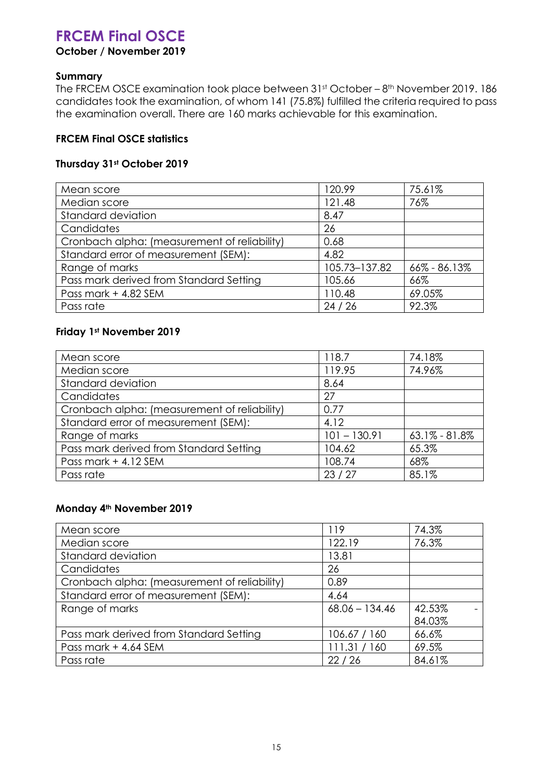# **FRCEM Final OSCE**

### **October / November 2019**

### **Summary**

The FRCEM OSCE examination took place between 31st October - 8th November 2019. 186 candidates took the examination, of whom 141 (75.8%) fulfilled the criteria required to pass the examination overall. There are 160 marks achievable for this examination.

### **FRCEM Final OSCE statistics**

### **Thursday 31st October 2019**

| Mean score                                   | 120.99        | 75.61%       |
|----------------------------------------------|---------------|--------------|
| Median score                                 | 121.48        | 76%          |
| Standard deviation                           | 8.47          |              |
| Candidates                                   | 26            |              |
| Cronbach alpha: (measurement of reliability) | 0.68          |              |
| Standard error of measurement (SEM):         | 4.82          |              |
| Range of marks                               | 105.73-137.82 | 66% - 86.13% |
| Pass mark derived from Standard Setting      | 105.66        | 66%          |
| Pass mark + 4.82 SEM                         | 110.48        | 69.05%       |
| Pass rate                                    | 24/26         | 92.3%        |

### **Friday 1st November 2019**

| Mean score                                   | 118.7          | 74.18%            |
|----------------------------------------------|----------------|-------------------|
| Median score                                 | 119.95         | 74.96%            |
| Standard deviation                           | 8.64           |                   |
| Candidates                                   | 27             |                   |
| Cronbach alpha: (measurement of reliability) | 0.77           |                   |
| Standard error of measurement (SEM):         | 4.12           |                   |
| Range of marks                               | $101 - 130.91$ | $63.1\% - 81.8\%$ |
| Pass mark derived from Standard Setting      | 104.62         | 65.3%             |
| Pass mark + 4.12 SEM                         | 108.74         | 68%               |
| Pass rate                                    | 23/27          | 85.1%             |

### **Monday 4th November 2019**

| Mean score                                   | 119              | 74.3%  |
|----------------------------------------------|------------------|--------|
| Median score                                 | 122.19           | 76.3%  |
| Standard deviation                           | 13.81            |        |
| Candidates                                   | 26               |        |
| Cronbach alpha: (measurement of reliability) | 0.89             |        |
| Standard error of measurement (SEM):         | 4.64             |        |
| Range of marks                               | $68.06 - 134.46$ | 42.53% |
|                                              |                  | 84.03% |
| Pass mark derived from Standard Setting      | 106.67 / 160     | 66.6%  |
| Pass mark + 4.64 SEM                         | 111.31 / 160     | 69.5%  |
| Pass rate                                    | 22/26            | 84.61% |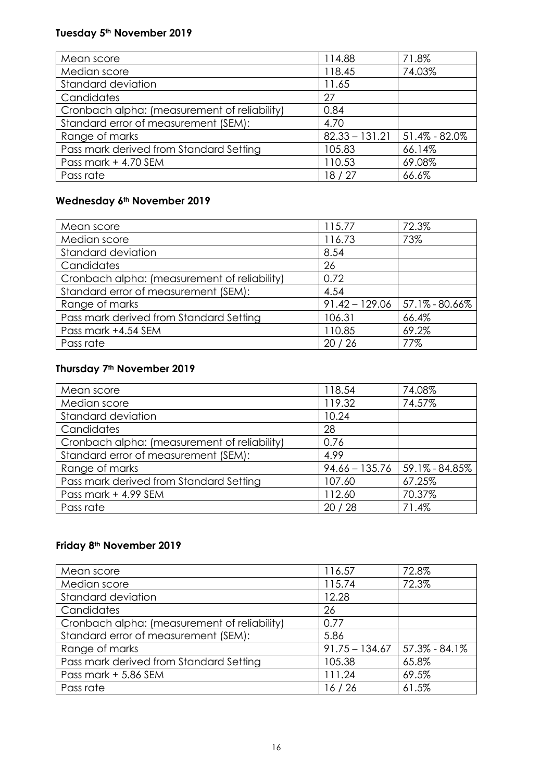# **Tuesday 5th November 2019**

| Mean score                                   | 114.88           | 71.8%              |
|----------------------------------------------|------------------|--------------------|
| Median score                                 | 118.45           | 74.03%             |
| Standard deviation                           | 11.65            |                    |
| Candidates                                   | 27               |                    |
| Cronbach alpha: (measurement of reliability) | 0.84             |                    |
| Standard error of measurement (SEM):         | 4.70             |                    |
| Range of marks                               | $82.33 - 131.21$ | $151.4\% - 82.0\%$ |
| Pass mark derived from Standard Setting      | 105.83           | 66.14%             |
| Pass mark + 4.70 SEM                         | 110.53           | 69.08%             |
| Pass rate                                    | 18/27            | 66.6%              |

### **Wednesday 6th November 2019**

| Mean score                                   | 115.77           | 72.3%              |
|----------------------------------------------|------------------|--------------------|
| Median score                                 | 116.73           | 73%                |
| Standard deviation                           | 8.54             |                    |
| Candidates                                   | 26               |                    |
| Cronbach alpha: (measurement of reliability) | 0.72             |                    |
| Standard error of measurement (SEM):         | 4.54             |                    |
| Range of marks                               | $91.42 - 129.06$ | $57.1\% - 80.66\%$ |
| Pass mark derived from Standard Setting      | 106.31           | 66.4%              |
| Pass mark +4.54 SEM                          | 110.85           | 69.2%              |
| Pass rate                                    | 20/26            | 77%                |

### **Thursday 7th November 2019**

| Mean score                                   | 118.54           | 74.08%             |
|----------------------------------------------|------------------|--------------------|
| Median score                                 | 119.32           | 74.57%             |
| Standard deviation                           | 10.24            |                    |
| Candidates                                   | 28               |                    |
| Cronbach alpha: (measurement of reliability) | 0.76             |                    |
| Standard error of measurement (SEM):         | 4.99             |                    |
| Range of marks                               | $94.66 - 135.76$ | $59.1\% - 84.85\%$ |
| Pass mark derived from Standard Setting      | 107.60           | 67.25%             |
| Pass mark + 4.99 SEM                         | 112.60           | 70.37%             |
| Pass rate                                    | 20/28            | 71.4%              |

### **Friday 8th November 2019**

| Mean score                                   | 116.57           | 72.8%             |
|----------------------------------------------|------------------|-------------------|
| Median score                                 | 115.74           | 72.3%             |
| Standard deviation                           | 12.28            |                   |
| Candidates                                   | 26               |                   |
| Cronbach alpha: (measurement of reliability) | 0.77             |                   |
| Standard error of measurement (SEM):         | 5.86             |                   |
| Range of marks                               | $91.75 - 134.67$ | $57.3\% - 84.1\%$ |
| Pass mark derived from Standard Setting      | 105.38           | 65.8%             |
| Pass mark + 5.86 SEM                         | 111.24           | 69.5%             |
| Pass rate                                    | 16/26            | 61.5%             |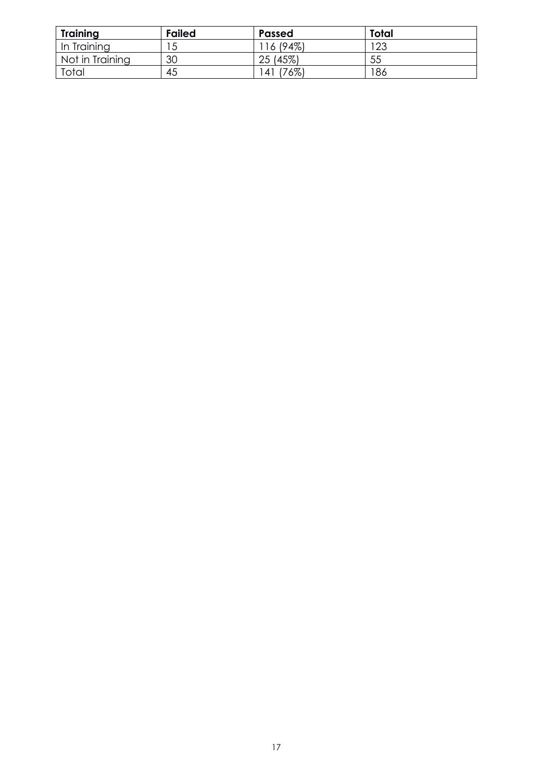| <b>Training</b> | <b>Failed</b> | <b>Passed</b> | Total |
|-----------------|---------------|---------------|-------|
| In Training     |               | ' 16 (94%)    | 123   |
| Not in Training | 30            | 25 (45%)      | 55    |
| Total           | 45            | (76%)<br>41   | 186   |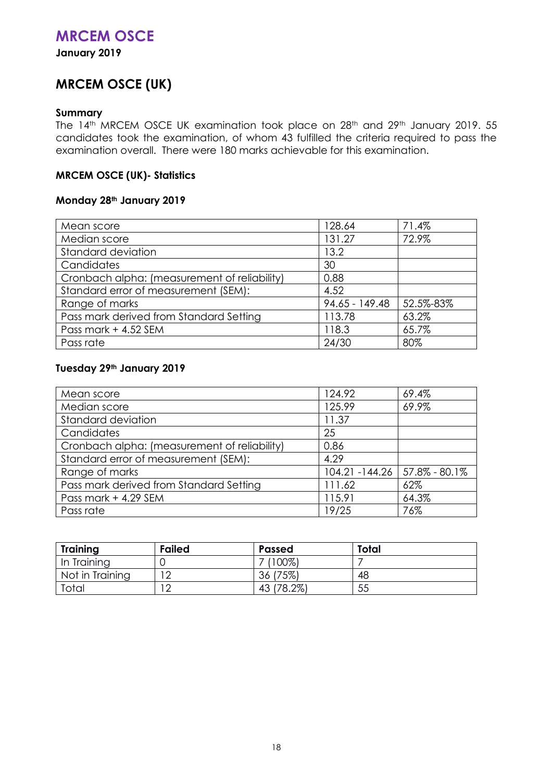## **MRCEM OSCE**

<span id="page-17-0"></span>**January 2019**

# **MRCEM OSCE (UK)**

### **Summary**

The 14<sup>th</sup> MRCEM OSCE UK examination took place on 28<sup>th</sup> and 29<sup>th</sup> January 2019. 55 candidates took the examination, of whom 43 fulfilled the criteria required to pass the examination overall. There were 180 marks achievable for this examination.

### **MRCEM OSCE (UK)- Statistics**

### **Monday 28th January 2019**

| Mean score                                   | 128.64           | 71.4%     |
|----------------------------------------------|------------------|-----------|
| Median score                                 | 131.27           | 72.9%     |
| Standard deviation                           | 13.2             |           |
| Candidates                                   | 30               |           |
| Cronbach alpha: (measurement of reliability) | 0.88             |           |
| Standard error of measurement (SEM):         | 4.52             |           |
| Range of marks                               | $94.65 - 149.48$ | 52.5%-83% |
| Pass mark derived from Standard Setting      | 113.78           | 63.2%     |
| Pass mark + 4.52 SEM                         | 118.3            | 65.7%     |
| Pass rate                                    | 24/30            | 80%       |

### **Tuesday 29th January 2019**

| Mean score                                   | 124.92                            | 69.4% |
|----------------------------------------------|-----------------------------------|-------|
| Median score                                 | 125.99                            | 69.9% |
| Standard deviation                           | 11.37                             |       |
| Candidates                                   | 25                                |       |
| Cronbach alpha: (measurement of reliability) | 0.86                              |       |
| Standard error of measurement (SEM):         | 4.29                              |       |
| Range of marks                               | $104.21 - 144.26$   57.8% - 80.1% |       |
| Pass mark derived from Standard Setting      | 111.62                            | 62%   |
| Pass mark + 4.29 SEM                         | 115.91                            | 64.3% |
| Pass rate                                    | 19/25                             | 76%   |

| Training        | <b>Failed</b> | Passed           | Total |
|-----------------|---------------|------------------|-------|
| In Training     |               | $(100\%)$        |       |
| Not in Training |               | (75%)<br>36      | 48    |
| Total           | $\sim$        | $(78.2\%)$<br>43 | 55    |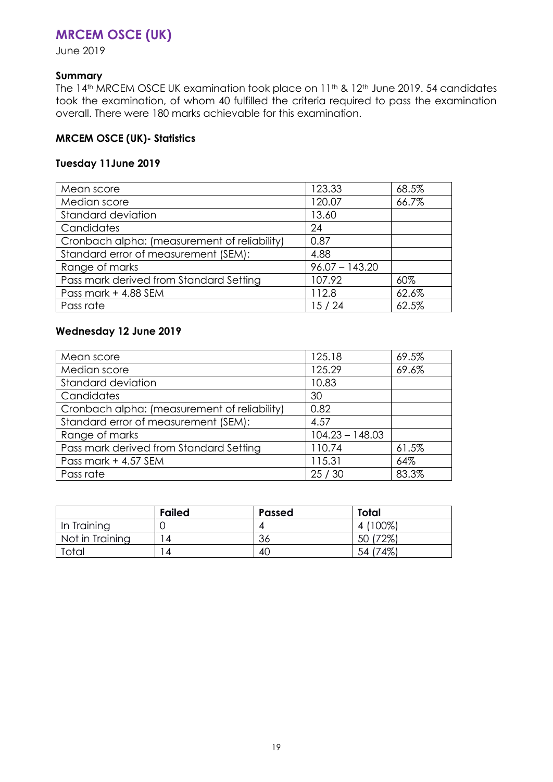### <span id="page-18-0"></span>**MRCEM OSCE (UK)**

June 2019

### **Summary**

The 14<sup>th</sup> MRCEM OSCE UK examination took place on 11<sup>th</sup> & 12<sup>th</sup> June 2019. 54 candidates took the examination, of whom 40 fulfilled the criteria required to pass the examination overall. There were 180 marks achievable for this examination.

### **MRCEM OSCE (UK)- Statistics**

### **Tuesday 11June 2019**

| Mean score                                   | 123.33           | 68.5% |
|----------------------------------------------|------------------|-------|
| Median score                                 | 120.07           | 66.7% |
| Standard deviation                           | 13.60            |       |
| Candidates                                   | 24               |       |
| Cronbach alpha: (measurement of reliability) | 0.87             |       |
| Standard error of measurement (SEM):         | 4.88             |       |
| Range of marks                               | $96.07 - 143.20$ |       |
| Pass mark derived from Standard Setting      | 107.92           | 60%   |
| Pass mark + 4.88 SEM                         | 112.8            | 62.6% |
| Pass rate                                    | 15/24            | 62.5% |

### **Wednesday 12 June 2019**

| Mean score                                   | 125.18            | 69.5% |
|----------------------------------------------|-------------------|-------|
| Median score                                 | 125.29            | 69.6% |
| Standard deviation                           | 10.83             |       |
| Candidates                                   | 30                |       |
| Cronbach alpha: (measurement of reliability) | 0.82              |       |
| Standard error of measurement (SEM):         | 4.57              |       |
| Range of marks                               | $104.23 - 148.03$ |       |
| Pass mark derived from Standard Setting      | 110.74            | 61.5% |
| Pass mark + 4.57 SEM                         | 115.31            | 64%   |
| Pass rate                                    | 25/30             | 83.3% |

<span id="page-18-1"></span>

|                 | <b>Failed</b> | <b>Passed</b> | Total     |
|-----------------|---------------|---------------|-----------|
| In Training     |               | 4             | $(100\%)$ |
| Not in Training | 4             | 36            | 50 (72%)  |
| Total           | Δ             | 40            | 54 (74%)  |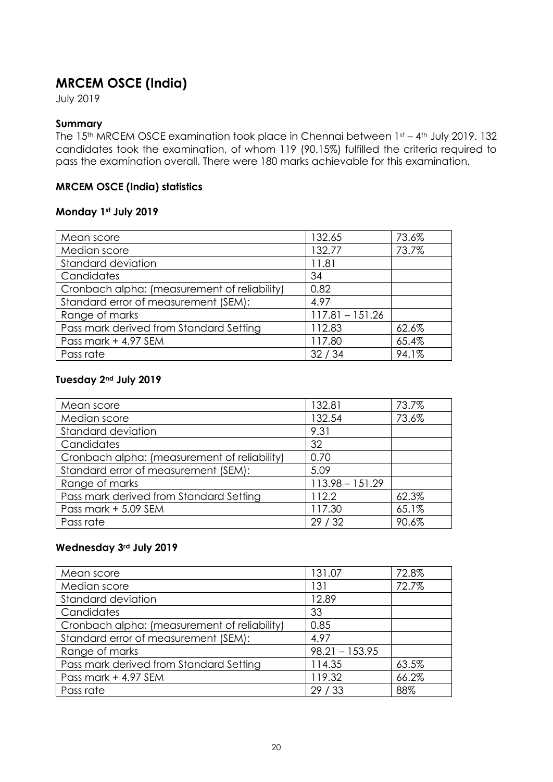# **MRCEM OSCE (India)**

July 2019

### **Summary**

The 15<sup>th</sup> MRCEM OSCE examination took place in Chennai between 1st - 4<sup>th</sup> July 2019. 132 candidates took the examination, of whom 119 (90.15%) fulfilled the criteria required to pass the examination overall. There were 180 marks achievable for this examination.

### **MRCEM OSCE (India) statistics**

### **Monday 1st July 2019**

| Mean score                                   | 132.65            | 73.6% |
|----------------------------------------------|-------------------|-------|
| Median score                                 | 132.77            | 73.7% |
| Standard deviation                           | 11.81             |       |
| Candidates                                   | 34                |       |
| Cronbach alpha: (measurement of reliability) | 0.82              |       |
| Standard error of measurement (SEM):         | 4.97              |       |
| Range of marks                               | $117.81 - 151.26$ |       |
| Pass mark derived from Standard Setting      | 112.83            | 62.6% |
| Pass mark + 4.97 SEM                         | 117.80            | 65.4% |
| Pass rate                                    | 32/34             | 94.1% |

### **Tuesday 2nd July 2019**

| Mean score                                   | 132.81            | 73.7% |
|----------------------------------------------|-------------------|-------|
| Median score                                 | 132.54            | 73.6% |
| Standard deviation                           | 9.31              |       |
| Candidates                                   | 32                |       |
| Cronbach alpha: (measurement of reliability) | 0.70              |       |
| Standard error of measurement (SEM):         | 5.09              |       |
| Range of marks                               | $113.98 - 151.29$ |       |
| Pass mark derived from Standard Setting      | 112.2             | 62.3% |
| Pass mark + 5.09 SEM                         | 117.30            | 65.1% |
| Pass rate                                    | 29/32             | 90.6% |

### **Wednesday 3rd July 2019**

| Mean score                                   | 131.07           | 72.8% |
|----------------------------------------------|------------------|-------|
| Median score                                 | 131              | 72.7% |
| Standard deviation                           | 12.89            |       |
| Candidates                                   | 33               |       |
| Cronbach alpha: (measurement of reliability) | 0.85             |       |
| Standard error of measurement (SEM):         | 4.97             |       |
| Range of marks                               | $98.21 - 153.95$ |       |
| Pass mark derived from Standard Setting      | 114.35           | 63.5% |
| Pass mark + 4.97 SEM                         | 119.32           | 66.2% |
| Pass rate                                    | 29/33            | 88%   |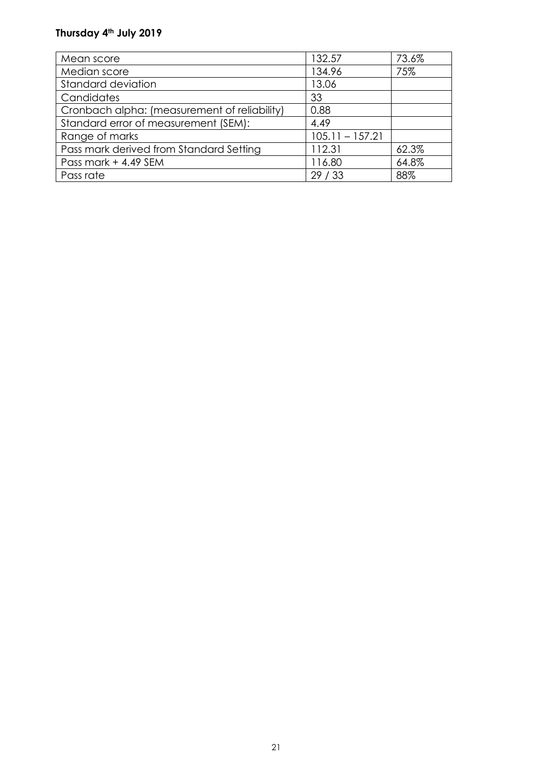### **Thursday 4th July 2019**

<span id="page-20-0"></span>

| Mean score                                   | 132.57            | 73.6% |
|----------------------------------------------|-------------------|-------|
| Median score                                 | 134.96            | 75%   |
| <b>Standard deviation</b>                    | 13.06             |       |
| Candidates                                   | 33                |       |
| Cronbach alpha: (measurement of reliability) | 0.88              |       |
| Standard error of measurement (SEM):         | 4.49              |       |
| Range of marks                               | $105.11 - 157.21$ |       |
| Pass mark derived from Standard Setting      | 112.31            | 62.3% |
| Pass mark + 4.49 SEM                         | 116.80            | 64.8% |
| Pass rate                                    | 29/33             | 88%   |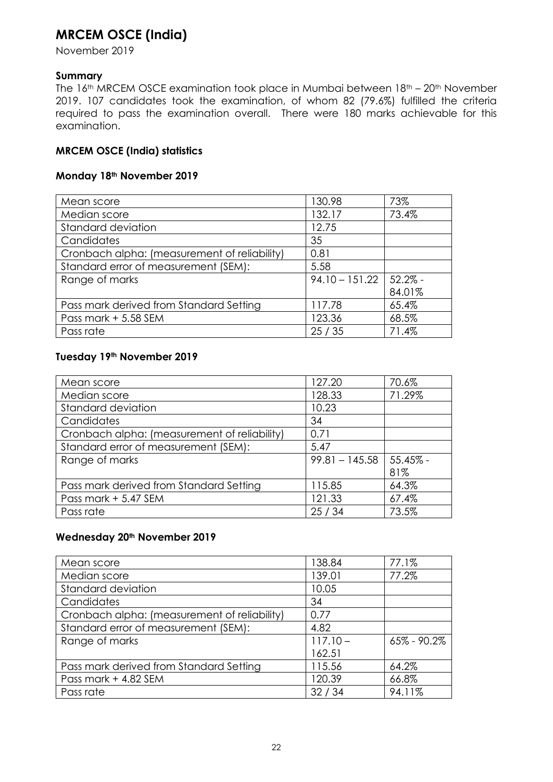### **MRCEM OSCE (India)**

November 2019

### **Summary**

The 16<sup>th</sup> MRCEM OSCE examination took place in Mumbai between 18<sup>th</sup> – 20<sup>th</sup> November 2019. 107 candidates took the examination, of whom 82 (79.6%) fulfilled the criteria required to pass the examination overall. There were 180 marks achievable for this examination.

### **MRCEM OSCE (India) statistics**

### **Monday 18th November 2019**

| Mean score                                   | 130.98           | 73%        |
|----------------------------------------------|------------------|------------|
| Median score                                 | 132.17           | 73.4%      |
| Standard deviation                           | 12.75            |            |
| Candidates                                   | 35               |            |
| Cronbach alpha: (measurement of reliability) | 0.81             |            |
| Standard error of measurement (SEM):         | 5.58             |            |
| Range of marks                               | $94.10 - 151.22$ | $52.2\%$ - |
|                                              |                  | 84.01%     |
| Pass mark derived from Standard Setting      | 117.78           | 65.4%      |
| Pass mark + 5.58 SEM                         | 123.36           | 68.5%      |
| Pass rate                                    | 25/35            | 71.4%      |

### **Tuesday 19th November 2019**

| Mean score                                   | 127.20           | 70.6%    |
|----------------------------------------------|------------------|----------|
| Median score                                 | 128.33           | 71.29%   |
| Standard deviation                           | 10.23            |          |
| Candidates                                   | 34               |          |
| Cronbach alpha: (measurement of reliability) | 0.71             |          |
| Standard error of measurement (SEM):         | 5.47             |          |
| Range of marks                               | $99.81 - 145.58$ | 55.45% - |
|                                              |                  | 81%      |
| Pass mark derived from Standard Setting      | 115.85           | 64.3%    |
| Pass mark + 5.47 SEM                         | 121.33           | 67.4%    |
| Pass rate                                    | 25/34            | 73.5%    |

### **Wednesday 20th November 2019**

| Mean score                                   | 138.84     | 77.1%           |
|----------------------------------------------|------------|-----------------|
| Median score                                 | 139.01     | 77.2%           |
| Standard deviation                           | 10.05      |                 |
| Candidates                                   | 34         |                 |
| Cronbach alpha: (measurement of reliability) | 0.77       |                 |
| Standard error of measurement (SEM):         | 4.82       |                 |
| Range of marks                               | $117.10 -$ | $65\% - 90.2\%$ |
|                                              | 162.51     |                 |
| Pass mark derived from Standard Setting      | 115.56     | 64.2%           |
| Pass mark + 4.82 SEM                         | 120.39     | 66.8%           |
| Pass rate                                    | 32/34      | 94.11%          |